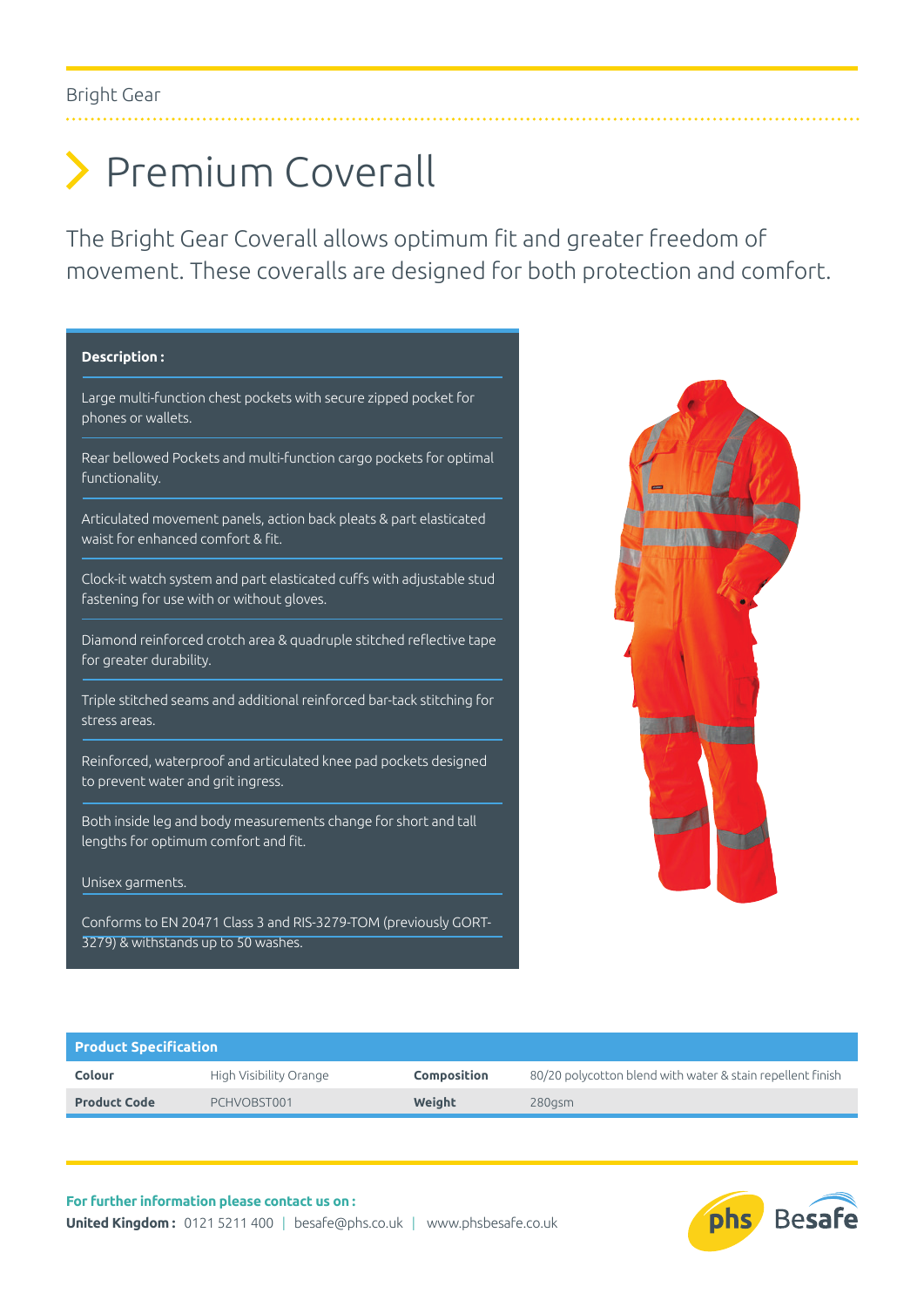# Premium Coverall

The Bright Gear Coverall allows optimum fit and greater freedom of movement. These coveralls are designed for both protection and comfort.

### **Description :**

Large multi-function chest pockets with secure zipped pocket for phones or wallets.

Rear bellowed Pockets and multi-function cargo pockets for optimal functionality.

Articulated movement panels, action back pleats & part elasticated waist for enhanced comfort & fit.

Clock-it watch system and part elasticated cuffs with adjustable stud fastening for use with or without gloves.

Diamond reinforced crotch area & quadruple stitched reflective tape for greater durability.

Triple stitched seams and additional reinforced bar-tack stitching for stress areas.

Reinforced, waterproof and articulated knee pad pockets designed to prevent water and grit ingress.

Both inside leg and body measurements change for short and tall lengths for optimum comfort and fit.

#### Unisex garments.

Conforms to EN 20471 Class 3 and RIS-3279-TOM (previously GORT-3279) & withstands up to 50 washes.



| <b>Product Specification</b> |                        |                    |                                                            |  |  |  |  |  |
|------------------------------|------------------------|--------------------|------------------------------------------------------------|--|--|--|--|--|
| Colour                       | High Visibility Orange | <b>Composition</b> | 80/20 polycotton blend with water & stain repellent finish |  |  |  |  |  |
| <b>Product Code</b>          | PCHVOBST001            | Weight             | 280asm                                                     |  |  |  |  |  |